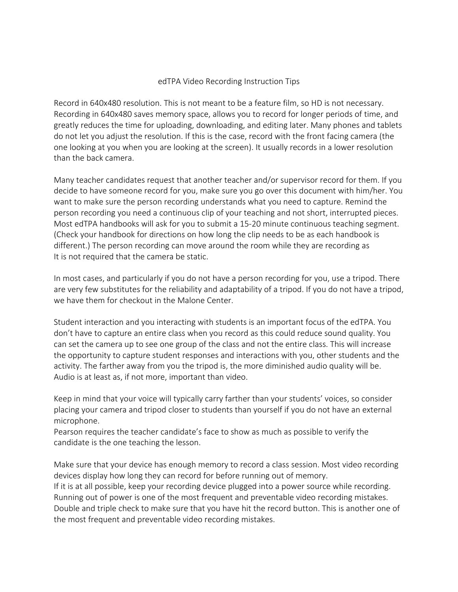## edTPA Video Recording Instruction Tips

Record in 640x480 resolution. This is not meant to be a feature film, so HD is not necessary. Recording in 640x480 saves memory space, allows you to record for longer periods of time, and greatly reduces the time for uploading, downloading, and editing later. Many phones and tablets do not let you adjust the resolution. If this is the case, record with the front facing camera (the one looking at you when you are looking at the screen). It usually records in a lower resolution than the back camera.

Many teacher candidates request that another teacher and/or supervisor record for them. If you decide to have someone record for you, make sure you go over this document with him/her. You want to make sure the person recording understands what you need to capture. Remind the person recording you need a continuous clip of your teaching and not short, interrupted pieces. Most edTPA handbooks will ask for you to submit a 15-20 minute continuous teaching segment. (Check your handbook for directions on how long the clip needs to be as each handbook is different.) The person recording can move around the room while they are recording as It is not required that the camera be static.

In most cases, and particularly if you do not have a person recording for you, use a tripod. There are very few substitutes for the reliability and adaptability of a tripod. If you do not have a tripod, we have them for checkout in the Malone Center.

Student interaction and you interacting with students is an important focus of the edTPA. You don't have to capture an entire class when you record as this could reduce sound quality. You can set the camera up to see one group of the class and not the entire class. This will increase the opportunity to capture student responses and interactions with you, other students and the activity. The farther away from you the tripod is, the more diminished audio quality will be. Audio is at least as, if not more, important than video.

Keep in mind that your voice will typically carry farther than your students' voices, so consider placing your camera and tripod closer to students than yourself if you do not have an external microphone.

Pearson requires the teacher candidate's face to show as much as possible to verify the candidate is the one teaching the lesson.

Make sure that your device has enough memory to record a class session. Most video recording devices display how long they can record for before running out of memory.

If it is at all possible, keep your recording device plugged into a power source while recording. Running out of power is one of the most frequent and preventable video recording mistakes. Double and triple check to make sure that you have hit the record button. This is another one of the most frequent and preventable video recording mistakes.